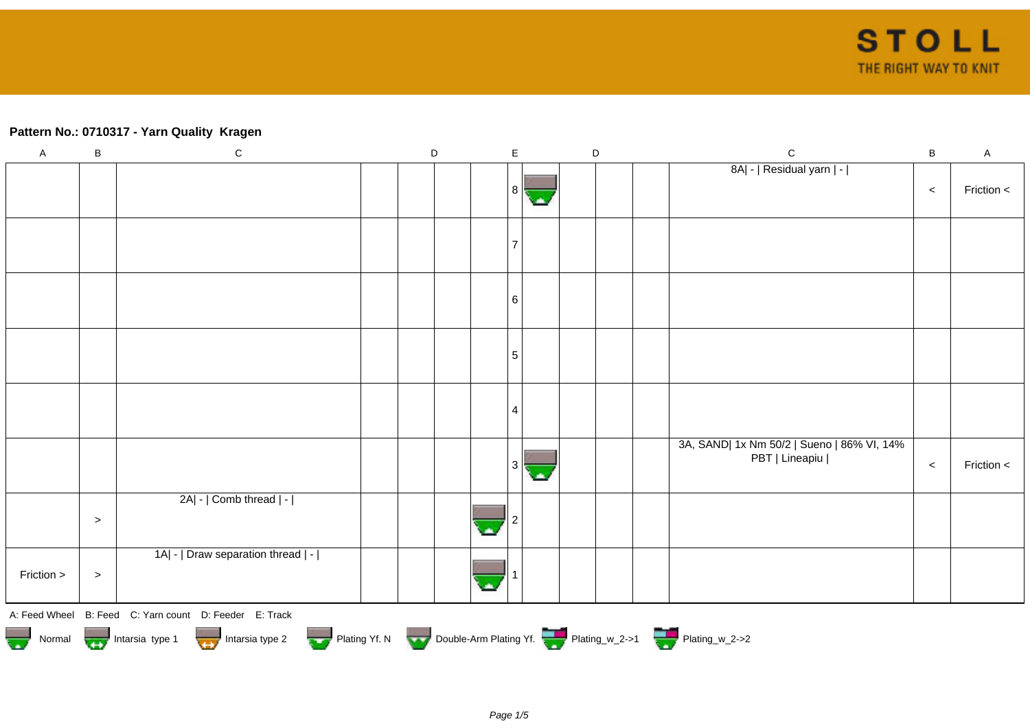## **Pattern No.: 0710317 - Yarn Quality Kragen**

| $\boldsymbol{\mathsf{A}}$ | B                                                                                                     | $\mathsf C$                                            |  | D |  | $\mathsf E$ |  |  | $\mathsf D$ |  | $\mathsf{C}$                                                 | $\, {\bf B}$ | $\mathsf{A}$ |
|---------------------------|-------------------------------------------------------------------------------------------------------|--------------------------------------------------------|--|---|--|-------------|--|--|-------------|--|--------------------------------------------------------------|--------------|--------------|
|                           |                                                                                                       |                                                        |  |   |  | 8 I         |  |  |             |  | 8A  -   Residual yarn   -                                    | $\,<$        | Friction <   |
|                           |                                                                                                       |                                                        |  |   |  |             |  |  |             |  |                                                              |              |              |
|                           |                                                                                                       |                                                        |  |   |  |             |  |  |             |  |                                                              |              |              |
|                           |                                                                                                       |                                                        |  |   |  |             |  |  |             |  |                                                              |              |              |
|                           |                                                                                                       |                                                        |  |   |  |             |  |  |             |  |                                                              |              |              |
|                           |                                                                                                       |                                                        |  |   |  | 6           |  |  |             |  |                                                              |              |              |
|                           |                                                                                                       |                                                        |  |   |  | 5           |  |  |             |  |                                                              |              |              |
|                           |                                                                                                       |                                                        |  |   |  |             |  |  |             |  |                                                              |              |              |
|                           |                                                                                                       |                                                        |  |   |  |             |  |  |             |  |                                                              |              |              |
|                           |                                                                                                       |                                                        |  |   |  | 4           |  |  |             |  |                                                              |              |              |
|                           |                                                                                                       |                                                        |  |   |  |             |  |  |             |  | 3A, SAND  1x Nm 50/2   Sueno   86% VI, 14%<br>PBT   Lineapiu |              |              |
|                           |                                                                                                       |                                                        |  |   |  |             |  |  |             |  |                                                              | $\,<$        | Friction <   |
|                           |                                                                                                       | 2A  -   Comb thread   -                                |  |   |  |             |  |  |             |  |                                                              |              |              |
|                           | $\, >$                                                                                                |                                                        |  |   |  |             |  |  |             |  |                                                              |              |              |
|                           |                                                                                                       | 1A  -   Draw separation thread   -                     |  |   |  |             |  |  |             |  |                                                              |              |              |
| Friction >                | $\, >$                                                                                                |                                                        |  |   |  |             |  |  |             |  |                                                              |              |              |
|                           |                                                                                                       | A: Feed Wheel B: Feed C: Yarn count D: Feeder E: Track |  |   |  |             |  |  |             |  |                                                              |              |              |
|                           | Normal Montain Strategy Intarsia type 2 Plating Yf. N Double-Arm Plating Yf. N Double-Arm Plating Yf. |                                                        |  |   |  |             |  |  |             |  |                                                              |              |              |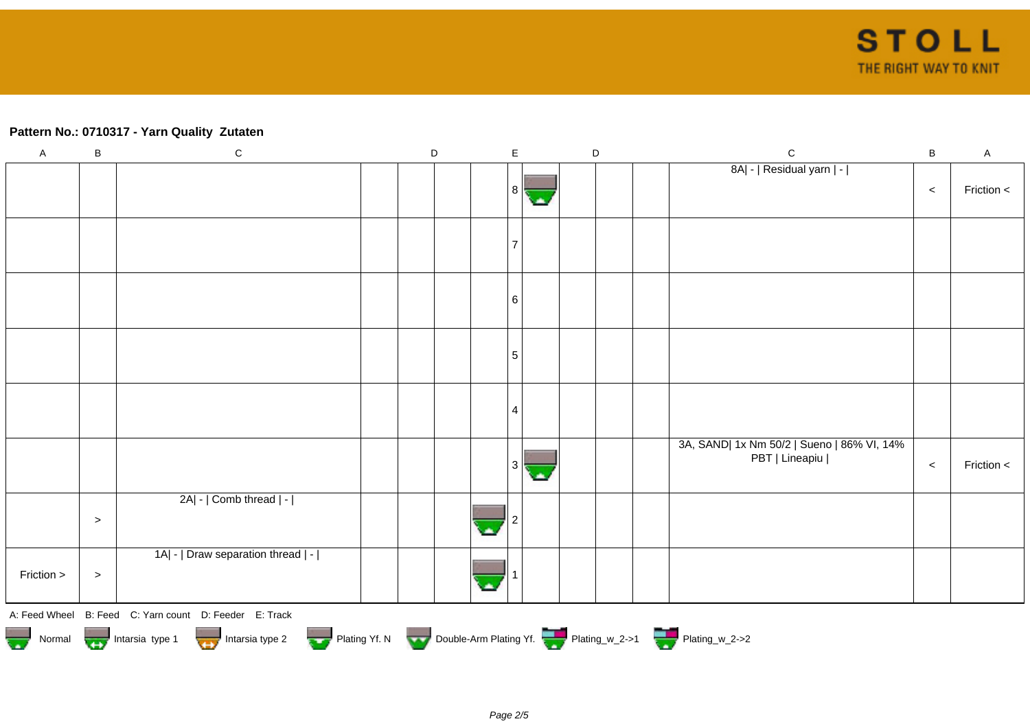## **Pattern No.: 0710317 - Yarn Quality Zutaten**

| $\boldsymbol{\mathsf{A}}$ | $\sf B$ | ${\bf C}$                                                                              | $\mathsf D$ | $\mathsf E$ | $\mathsf D$ |  | $\mathsf C$                                | $\, {\bf B}$ | $\mathsf A$ |
|---------------------------|---------|----------------------------------------------------------------------------------------|-------------|-------------|-------------|--|--------------------------------------------|--------------|-------------|
|                           |         |                                                                                        |             |             |             |  | 8A  -   Residual yarn   -                  |              |             |
|                           |         |                                                                                        |             | 8           |             |  |                                            | $\,<$        | Friction <  |
|                           |         |                                                                                        |             |             |             |  |                                            |              |             |
|                           |         |                                                                                        |             |             |             |  |                                            |              |             |
|                           |         |                                                                                        |             |             |             |  |                                            |              |             |
|                           |         |                                                                                        |             |             |             |  |                                            |              |             |
|                           |         |                                                                                        |             | 6           |             |  |                                            |              |             |
|                           |         |                                                                                        |             |             |             |  |                                            |              |             |
|                           |         |                                                                                        |             | 5           |             |  |                                            |              |             |
|                           |         |                                                                                        |             |             |             |  |                                            |              |             |
|                           |         |                                                                                        |             | 4           |             |  |                                            |              |             |
|                           |         |                                                                                        |             |             |             |  | 3A, SAND  1x Nm 50/2   Sueno   86% VI, 14% |              |             |
|                           |         |                                                                                        |             |             |             |  | PBT   Lineapiu                             | $\,<$        | Friction <  |
|                           |         | 2A  -   Comb thread   -                                                                |             |             |             |  |                                            |              |             |
|                           | $\,>$   |                                                                                        |             |             |             |  |                                            |              |             |
|                           |         | 1A  -   Draw separation thread   -                                                     |             |             |             |  |                                            |              |             |
| Friction >                | $\geq$  |                                                                                        |             |             |             |  |                                            |              |             |
|                           |         | A: Feed Wheel B: Feed C: Yarn count D: Feeder E: Track                                 |             |             |             |  |                                            |              |             |
|                           |         | Normal <b>Double-Arm Plating Yf. N</b> Double-Arm Plating Yf. N Double-Arm Plating Yf. |             |             |             |  |                                            |              |             |
|                           |         |                                                                                        |             |             |             |  |                                            |              |             |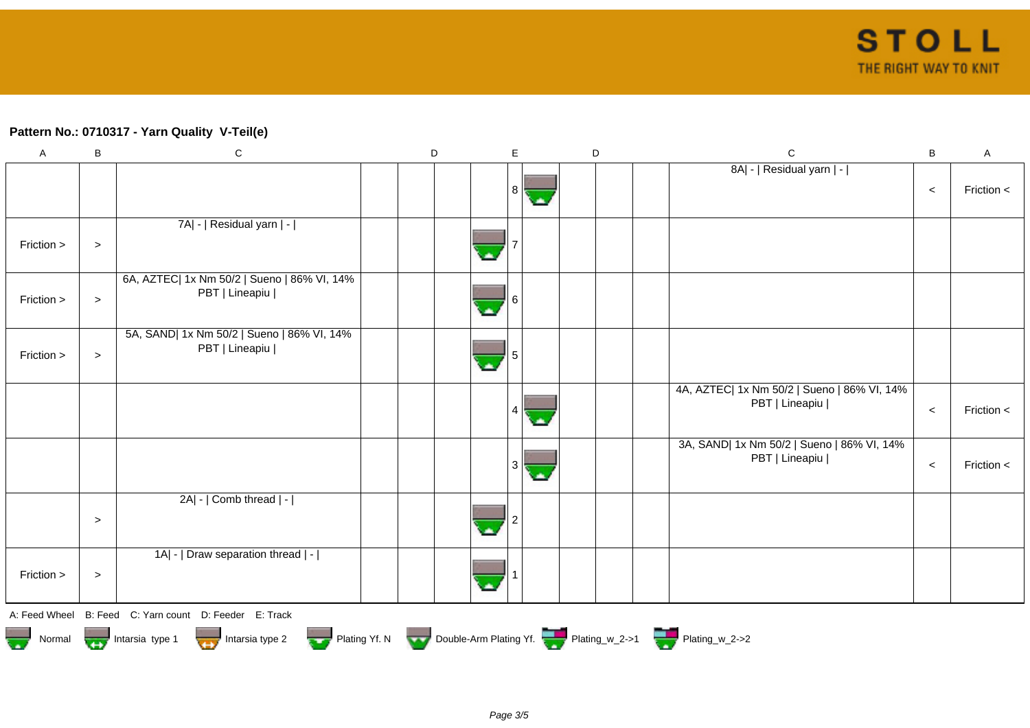## **Pattern No.: 0710317 - Yarn Quality V-Teil(e)**

| $\boldsymbol{\mathsf{A}}$ | B                                                                                             | ${\bf C}$                                                     | D |  | $\mathsf E$ |  | D | $\mathsf C$                                                   | $\sf B$ | A            |  |  |
|---------------------------|-----------------------------------------------------------------------------------------------|---------------------------------------------------------------|---|--|-------------|--|---|---------------------------------------------------------------|---------|--------------|--|--|
|                           |                                                                                               |                                                               |   |  | 8<br>C.     |  |   | 8A  -   Residual yarn   -                                     | $\,<$   | Friction $<$ |  |  |
| Friction >                | $\, > \,$                                                                                     | 7A  -   Residual yarn   -                                     |   |  |             |  |   |                                                               |         |              |  |  |
| Friction >                | $\, > \,$                                                                                     | 6A, AZTEC  1x Nm 50/2   Sueno   86% VI, 14%<br>PBT   Lineapiu |   |  |             |  |   |                                                               |         |              |  |  |
| Friction >                | $\, > \,$                                                                                     | 5A, SAND  1x Nm 50/2   Sueno   86% VI, 14%<br>PBT   Lineapiu  |   |  |             |  |   |                                                               |         |              |  |  |
|                           |                                                                                               |                                                               |   |  | 4           |  |   | 4A, AZTEC  1x Nm 50/2   Sueno   86% VI, 14%<br>PBT   Lineapiu | $\,<$   | Friction <   |  |  |
|                           |                                                                                               |                                                               |   |  | 3<br>С.     |  |   | 3A, SAND  1x Nm 50/2   Sueno   86% VI, 14%<br>PBT   Lineapiu  | $\,<$   | Friction <   |  |  |
|                           | $\,>$                                                                                         | 2A  -   Comb thread   -                                       |   |  |             |  |   |                                                               |         |              |  |  |
| Friction >                | $\, >$                                                                                        | 1A  -   Draw separation thread   -                            |   |  |             |  |   |                                                               |         |              |  |  |
|                           |                                                                                               | A: Feed Wheel B: Feed C: Yarn count D: Feeder E: Track        |   |  |             |  |   |                                                               |         |              |  |  |
|                           | Normal <b>Double-Arm Plating Yf. N</b> Double-Arm Plating Yf. N Double-Arm Plating Yf. N 2->1 |                                                               |   |  |             |  |   |                                                               |         |              |  |  |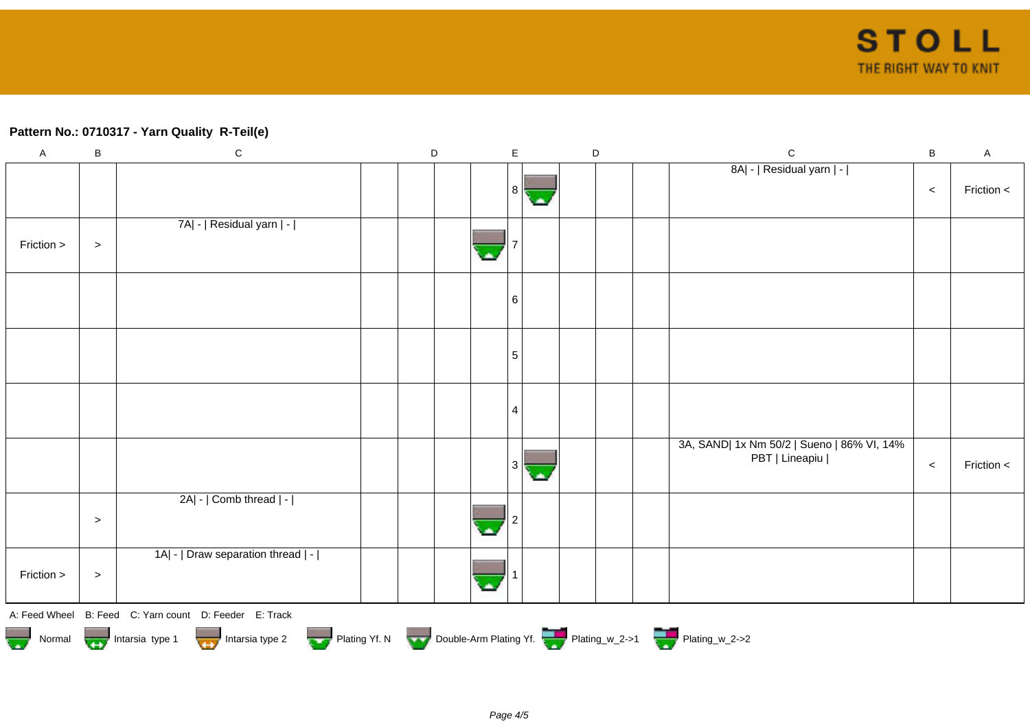## **Pattern No.: 0710317 - Yarn Quality R-Teil(e)**

| $\mathsf A$                                                                                                                                | $\sf B$ | ${\bf C}$                          |  | $\mathsf D$ |  | $\mathsf E$ |  | D |  | $\mathbf C$                                                  | B     | $\boldsymbol{\mathsf{A}}$ |
|--------------------------------------------------------------------------------------------------------------------------------------------|---------|------------------------------------|--|-------------|--|-------------|--|---|--|--------------------------------------------------------------|-------|---------------------------|
|                                                                                                                                            |         |                                    |  |             |  | 8           |  |   |  | 8A  -   Residual yarn   -                                    | $\,<$ | Friction <                |
| Friction >                                                                                                                                 | $\, >$  | 7A  -   Residual yarn   -          |  |             |  |             |  |   |  |                                                              |       |                           |
|                                                                                                                                            |         |                                    |  |             |  | 6           |  |   |  |                                                              |       |                           |
|                                                                                                                                            |         |                                    |  |             |  | 5           |  |   |  |                                                              |       |                           |
|                                                                                                                                            |         |                                    |  |             |  | 4           |  |   |  |                                                              |       |                           |
|                                                                                                                                            |         |                                    |  |             |  |             |  |   |  | 3A, SAND  1x Nm 50/2   Sueno   86% VI, 14%<br>PBT   Lineapiu | $\,<$ | Friction <                |
|                                                                                                                                            | $\,>$   | 2A  -   Comb thread   -            |  |             |  |             |  |   |  |                                                              |       |                           |
| Friction >                                                                                                                                 | $\,>$   | 1A  -   Draw separation thread   - |  |             |  |             |  |   |  |                                                              |       |                           |
| A: Feed Wheel B: Feed C: Yarn count D: Feeder E: Track<br>Normal 1999 Intarsia type 1 Intarsia type 2 Plating Yf. N Double-Arm Plating Yf. |         |                                    |  |             |  |             |  |   |  |                                                              |       |                           |